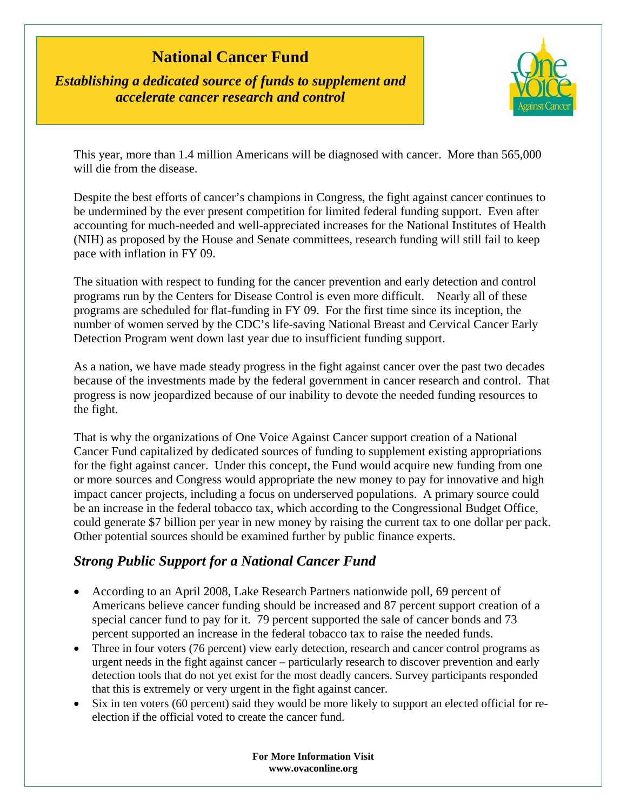## **National Cancer Fund**

*Establishing a dedicated source of funds to supplement and accelerate cancer research and control* 



This year, more than 1.4 million Americans will be diagnosed with cancer. More than 565,000 will die from the disease.

Despite the best efforts of cancer's champions in Congress, the fight against cancer continues to be undermined by the ever present competition for limited federal funding support. Even after accounting for much-needed and well-appreciated increases for the National Institutes of Health (NIH) as proposed by the House and Senate committees, research funding will still fail to keep pace with inflation in FY 09.

The situation with respect to funding for the cancer prevention and early detection and control programs run by the Centers for Disease Control is even more difficult. Nearly all of these programs are scheduled for flat-funding in FY 09. For the first time since its inception, the number of women served by the CDC's life-saving National Breast and Cervical Cancer Early Detection Program went down last year due to insufficient funding support.

As a nation, we have made steady progress in the fight against cancer over the past two decades because of the investments made by the federal government in cancer research and control. That progress is now jeopardized because of our inability to devote the needed funding resources to the fight.

That is why the organizations of One Voice Against Cancer support creation of a National Cancer Fund capitalized by dedicated sources of funding to supplement existing appropriations for the fight against cancer. Under this concept, the Fund would acquire new funding from one or more sources and Congress would appropriate the new money to pay for innovative and high impact cancer projects, including a focus on underserved populations. A primary source could be an increase in the federal tobacco tax, which according to the Congressional Budget Office, could generate \$7 billion per year in new money by raising the current tax to one dollar per pack. Other potential sources should be examined further by public finance experts.

## *Strong Public Support for a National Cancer Fund*

- According to an April 2008, Lake Research Partners nationwide poll, 69 percent of Americans believe cancer funding should be increased and 87 percent support creation of a special cancer fund to pay for it. 79 percent supported the sale of cancer bonds and 73 percent supported an increase in the federal tobacco tax to raise the needed funds.
- Three in four voters (76 percent) view early detection, research and cancer control programs as urgent needs in the fight against cancer – particularly research to discover prevention and early detection tools that do not yet exist for the most deadly cancers. Survey participants responded that this is extremely or very urgent in the fight against cancer.
- Six in ten voters (60 percent) said they would be more likely to support an elected official for reelection if the official voted to create the cancer fund.

**For More Information Visit www.ovaconline.org**